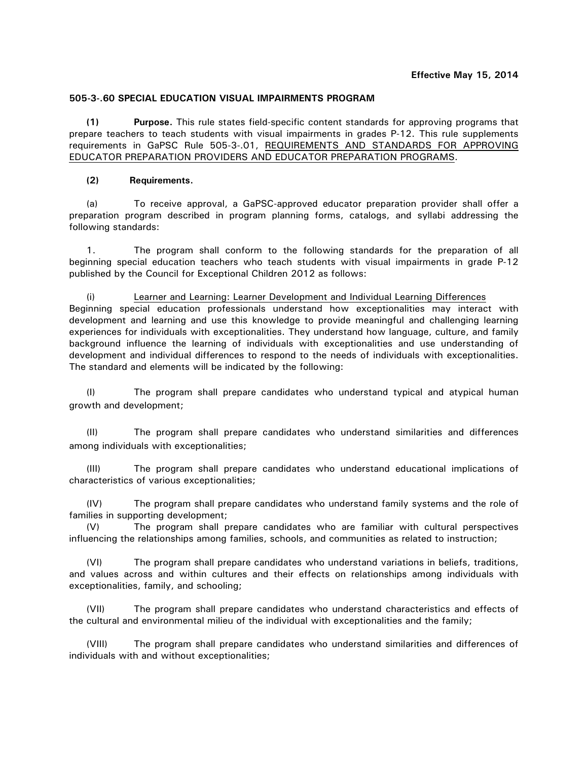## **505-3-.60 SPECIAL EDUCATION VISUAL IMPAIRMENTS PROGRAM**

**(1) Purpose.** This rule states field-specific content standards for approving programs that prepare teachers to teach students with visual impairments in grades P-12. This rule supplements requirements in GaPSC Rule 505-3-.01, REQUIREMENTS AND STANDARDS FOR APPROVING EDUCATOR PREPARATION PROVIDERS AND EDUCATOR PREPARATION PROGRAMS.

## **(2) Requirements.**

(a) To receive approval, a GaPSC-approved educator preparation provider shall offer a preparation program described in program planning forms, catalogs, and syllabi addressing the following standards:

1. The program shall conform to the following standards for the preparation of all beginning special education teachers who teach students with visual impairments in grade P-12 published by the Council for Exceptional Children 2012 as follows:

(i) Learner and Learning: Learner Development and Individual Learning Differences Beginning special education professionals understand how exceptionalities may interact with development and learning and use this knowledge to provide meaningful and challenging learning experiences for individuals with exceptionalities. They understand how language, culture, and family background influence the learning of individuals with exceptionalities and use understanding of development and individual differences to respond to the needs of individuals with exceptionalities. The standard and elements will be indicated by the following:

(I) The program shall prepare candidates who understand typical and atypical human growth and development;

(II) The program shall prepare candidates who understand similarities and differences among individuals with exceptionalities;

(III) The program shall prepare candidates who understand educational implications of characteristics of various exceptionalities;

(IV) The program shall prepare candidates who understand family systems and the role of families in supporting development;

(V) The program shall prepare candidates who are familiar with cultural perspectives influencing the relationships among families, schools, and communities as related to instruction;

(VI) The program shall prepare candidates who understand variations in beliefs, traditions, and values across and within cultures and their effects on relationships among individuals with exceptionalities, family, and schooling;

(VII) The program shall prepare candidates who understand characteristics and effects of the cultural and environmental milieu of the individual with exceptionalities and the family;

(VIII) The program shall prepare candidates who understand similarities and differences of individuals with and without exceptionalities;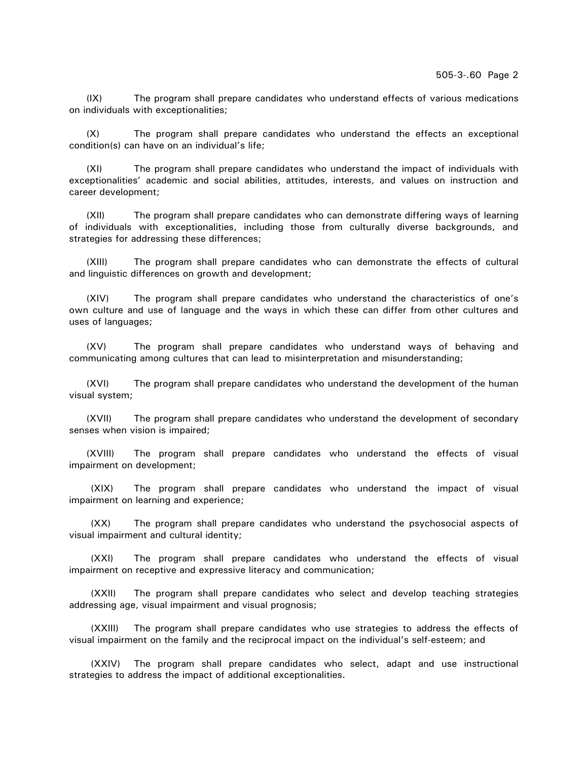(IX) The program shall prepare candidates who understand effects of various medications on individuals with exceptionalities;

(X) The program shall prepare candidates who understand the effects an exceptional condition(s) can have on an individual's life;

(XI) The program shall prepare candidates who understand the impact of individuals with exceptionalities' academic and social abilities, attitudes, interests, and values on instruction and career development;

(XII) The program shall prepare candidates who can demonstrate differing ways of learning of individuals with exceptionalities, including those from culturally diverse backgrounds, and strategies for addressing these differences;

(XIII) The program shall prepare candidates who can demonstrate the effects of cultural and linguistic differences on growth and development;

(XIV) The program shall prepare candidates who understand the characteristics of one's own culture and use of language and the ways in which these can differ from other cultures and uses of languages;

(XV) The program shall prepare candidates who understand ways of behaving and communicating among cultures that can lead to misinterpretation and misunderstanding;

(XVI) The program shall prepare candidates who understand the development of the human visual system;

(XVII) The program shall prepare candidates who understand the development of secondary senses when vision is impaired;

(XVIII) The program shall prepare candidates who understand the effects of visual impairment on development;

(XIX) The program shall prepare candidates who understand the impact of visual impairment on learning and experience;

(XX) The program shall prepare candidates who understand the psychosocial aspects of visual impairment and cultural identity;

(XXI) The program shall prepare candidates who understand the effects of visual impairment on receptive and expressive literacy and communication;

(XXII) The program shall prepare candidates who select and develop teaching strategies addressing age, visual impairment and visual prognosis;

(XXIII) The program shall prepare candidates who use strategies to address the effects of visual impairment on the family and the reciprocal impact on the individual's self-esteem; and

(XXIV) The program shall prepare candidates who select, adapt and use instructional strategies to address the impact of additional exceptionalities.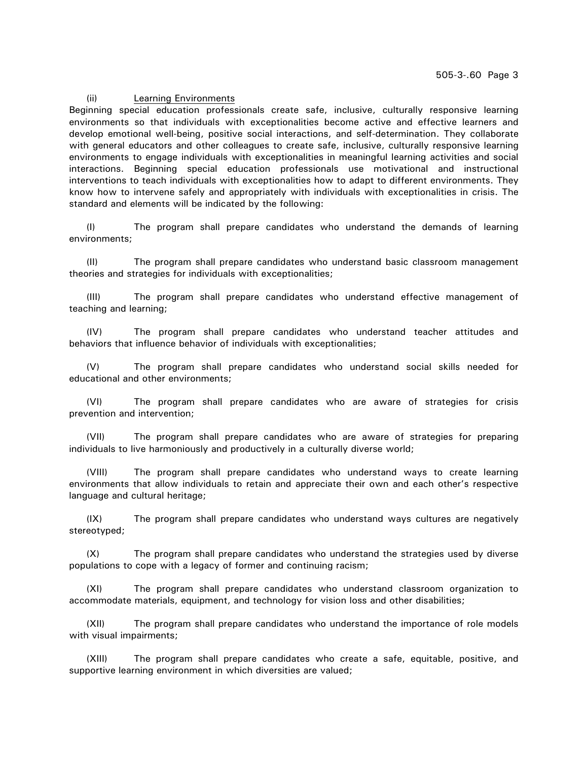#### (ii) Learning Environments

Beginning special education professionals create safe, inclusive, culturally responsive learning environments so that individuals with exceptionalities become active and effective learners and develop emotional well-being, positive social interactions, and self-determination. They collaborate with general educators and other colleagues to create safe, inclusive, culturally responsive learning environments to engage individuals with exceptionalities in meaningful learning activities and social interactions. Beginning special education professionals use motivational and instructional interventions to teach individuals with exceptionalities how to adapt to different environments. They know how to intervene safely and appropriately with individuals with exceptionalities in crisis. The standard and elements will be indicated by the following:

(I) The program shall prepare candidates who understand the demands of learning environments;

(II) The program shall prepare candidates who understand basic classroom management theories and strategies for individuals with exceptionalities;

(III) The program shall prepare candidates who understand effective management of teaching and learning;

(IV) The program shall prepare candidates who understand teacher attitudes and behaviors that influence behavior of individuals with exceptionalities;

(V) The program shall prepare candidates who understand social skills needed for educational and other environments;

(VI) The program shall prepare candidates who are aware of strategies for crisis prevention and intervention;

(VII) The program shall prepare candidates who are aware of strategies for preparing individuals to live harmoniously and productively in a culturally diverse world;

(VIII) The program shall prepare candidates who understand ways to create learning environments that allow individuals to retain and appreciate their own and each other's respective language and cultural heritage;

(IX) The program shall prepare candidates who understand ways cultures are negatively stereotyped;

(X) The program shall prepare candidates who understand the strategies used by diverse populations to cope with a legacy of former and continuing racism;

(XI) The program shall prepare candidates who understand classroom organization to accommodate materials, equipment, and technology for vision loss and other disabilities;

(XII) The program shall prepare candidates who understand the importance of role models with visual impairments;

(XIII) The program shall prepare candidates who create a safe, equitable, positive, and supportive learning environment in which diversities are valued;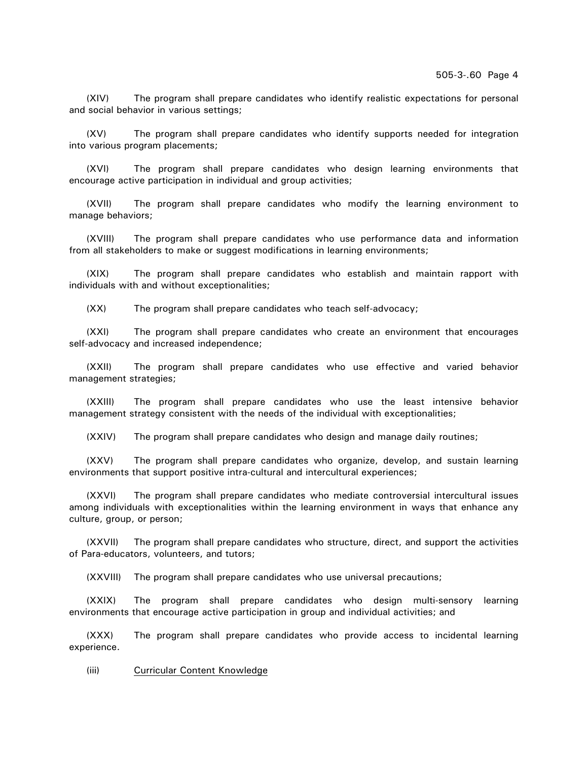(XIV) The program shall prepare candidates who identify realistic expectations for personal and social behavior in various settings;

(XV) The program shall prepare candidates who identify supports needed for integration into various program placements;

(XVI) The program shall prepare candidates who design learning environments that encourage active participation in individual and group activities;

(XVII) The program shall prepare candidates who modify the learning environment to manage behaviors;

(XVIII) The program shall prepare candidates who use performance data and information from all stakeholders to make or suggest modifications in learning environments;

(XIX) The program shall prepare candidates who establish and maintain rapport with individuals with and without exceptionalities;

(XX) The program shall prepare candidates who teach self-advocacy;

(XXI) The program shall prepare candidates who create an environment that encourages self-advocacy and increased independence;

(XXII) The program shall prepare candidates who use effective and varied behavior management strategies;

(XXIII) The program shall prepare candidates who use the least intensive behavior management strategy consistent with the needs of the individual with exceptionalities;

(XXIV) The program shall prepare candidates who design and manage daily routines;

(XXV) The program shall prepare candidates who organize, develop, and sustain learning environments that support positive intra-cultural and intercultural experiences;

(XXVI) The program shall prepare candidates who mediate controversial intercultural issues among individuals with exceptionalities within the learning environment in ways that enhance any culture, group, or person;

(XXVII) The program shall prepare candidates who structure, direct, and support the activities of Para-educators, volunteers, and tutors;

(XXVIII) The program shall prepare candidates who use universal precautions;

(XXIX) The program shall prepare candidates who design multi-sensory learning environments that encourage active participation in group and individual activities; and

(XXX) The program shall prepare candidates who provide access to incidental learning experience.

(iii) Curricular Content Knowledge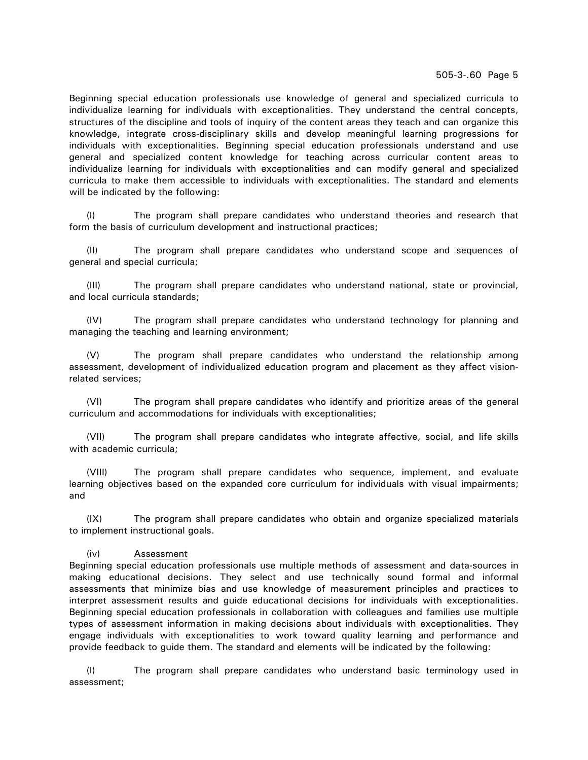505-3-.60 Page 5

Beginning special education professionals use knowledge of general and specialized curricula to individualize learning for individuals with exceptionalities. They understand the central concepts, structures of the discipline and tools of inquiry of the content areas they teach and can organize this knowledge, integrate cross-disciplinary skills and develop meaningful learning progressions for individuals with exceptionalities. Beginning special education professionals understand and use general and specialized content knowledge for teaching across curricular content areas to individualize learning for individuals with exceptionalities and can modify general and specialized curricula to make them accessible to individuals with exceptionalities. The standard and elements will be indicated by the following:

(I) The program shall prepare candidates who understand theories and research that form the basis of curriculum development and instructional practices;

(II) The program shall prepare candidates who understand scope and sequences of general and special curricula;

(III) The program shall prepare candidates who understand national, state or provincial, and local curricula standards;

(IV) The program shall prepare candidates who understand technology for planning and managing the teaching and learning environment;

(V) The program shall prepare candidates who understand the relationship among assessment, development of individualized education program and placement as they affect visionrelated services;

(VI) The program shall prepare candidates who identify and prioritize areas of the general curriculum and accommodations for individuals with exceptionalities;

(VII) The program shall prepare candidates who integrate affective, social, and life skills with academic curricula;

(VIII) The program shall prepare candidates who sequence, implement, and evaluate learning objectives based on the expanded core curriculum for individuals with visual impairments; and

(IX) The program shall prepare candidates who obtain and organize specialized materials to implement instructional goals.

# (iv) Assessment

Beginning special education professionals use multiple methods of assessment and data-sources in making educational decisions. They select and use technically sound formal and informal assessments that minimize bias and use knowledge of measurement principles and practices to interpret assessment results and guide educational decisions for individuals with exceptionalities. Beginning special education professionals in collaboration with colleagues and families use multiple types of assessment information in making decisions about individuals with exceptionalities. They engage individuals with exceptionalities to work toward quality learning and performance and provide feedback to guide them. The standard and elements will be indicated by the following:

(I) The program shall prepare candidates who understand basic terminology used in assessment;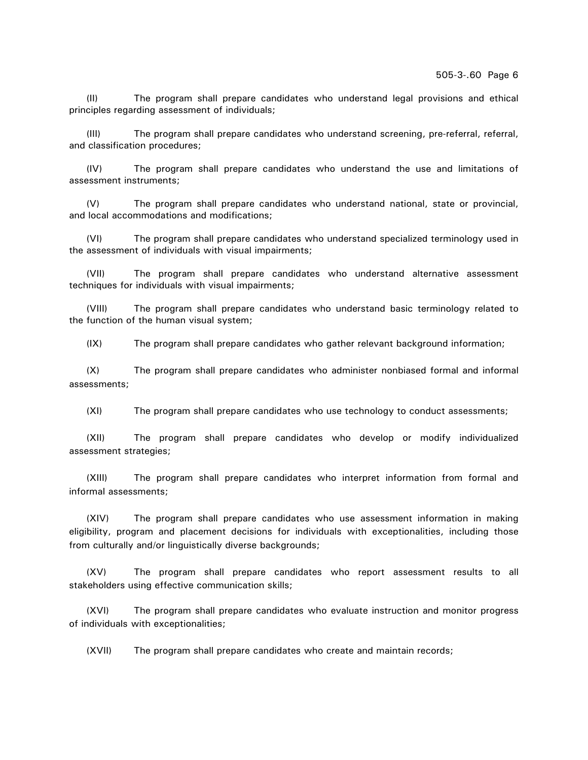(II) The program shall prepare candidates who understand legal provisions and ethical principles regarding assessment of individuals;

(III) The program shall prepare candidates who understand screening, pre-referral, referral, and classification procedures;

(IV) The program shall prepare candidates who understand the use and limitations of assessment instruments;

(V) The program shall prepare candidates who understand national, state or provincial, and local accommodations and modifications;

(VI) The program shall prepare candidates who understand specialized terminology used in the assessment of individuals with visual impairments;

(VII) The program shall prepare candidates who understand alternative assessment techniques for individuals with visual impairments;

(VIII) The program shall prepare candidates who understand basic terminology related to the function of the human visual system;

(IX) The program shall prepare candidates who gather relevant background information;

(X) The program shall prepare candidates who administer nonbiased formal and informal assessments;

(XI) The program shall prepare candidates who use technology to conduct assessments;

(XII) The program shall prepare candidates who develop or modify individualized assessment strategies;

(XIII) The program shall prepare candidates who interpret information from formal and informal assessments;

(XIV) The program shall prepare candidates who use assessment information in making eligibility, program and placement decisions for individuals with exceptionalities, including those from culturally and/or linguistically diverse backgrounds;

(XV) The program shall prepare candidates who report assessment results to all stakeholders using effective communication skills;

(XVI) The program shall prepare candidates who evaluate instruction and monitor progress of individuals with exceptionalities;

(XVII) The program shall prepare candidates who create and maintain records;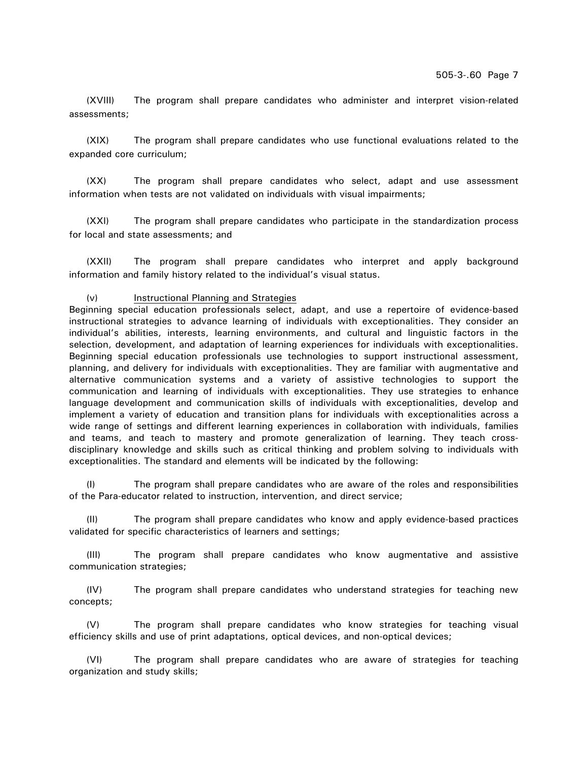(XVIII) The program shall prepare candidates who administer and interpret vision-related assessments;

(XIX) The program shall prepare candidates who use functional evaluations related to the expanded core curriculum;

(XX) The program shall prepare candidates who select, adapt and use assessment information when tests are not validated on individuals with visual impairments;

(XXI) The program shall prepare candidates who participate in the standardization process for local and state assessments; and

(XXII) The program shall prepare candidates who interpret and apply background information and family history related to the individual's visual status.

### (v) Instructional Planning and Strategies

Beginning special education professionals select, adapt, and use a repertoire of evidence-based instructional strategies to advance learning of individuals with exceptionalities. They consider an individual's abilities, interests, learning environments, and cultural and linguistic factors in the selection, development, and adaptation of learning experiences for individuals with exceptionalities. Beginning special education professionals use technologies to support instructional assessment, planning, and delivery for individuals with exceptionalities. They are familiar with augmentative and alternative communication systems and a variety of assistive technologies to support the communication and learning of individuals with exceptionalities. They use strategies to enhance language development and communication skills of individuals with exceptionalities, develop and implement a variety of education and transition plans for individuals with exceptionalities across a wide range of settings and different learning experiences in collaboration with individuals, families and teams, and teach to mastery and promote generalization of learning. They teach crossdisciplinary knowledge and skills such as critical thinking and problem solving to individuals with exceptionalities. The standard and elements will be indicated by the following:

(I) The program shall prepare candidates who are aware of the roles and responsibilities of the Para-educator related to instruction, intervention, and direct service;

(II) The program shall prepare candidates who know and apply evidence-based practices validated for specific characteristics of learners and settings;

(III) The program shall prepare candidates who know augmentative and assistive communication strategies;

(IV) The program shall prepare candidates who understand strategies for teaching new concepts;

(V) The program shall prepare candidates who know strategies for teaching visual efficiency skills and use of print adaptations, optical devices, and non-optical devices;

(VI) The program shall prepare candidates who are aware of strategies for teaching organization and study skills;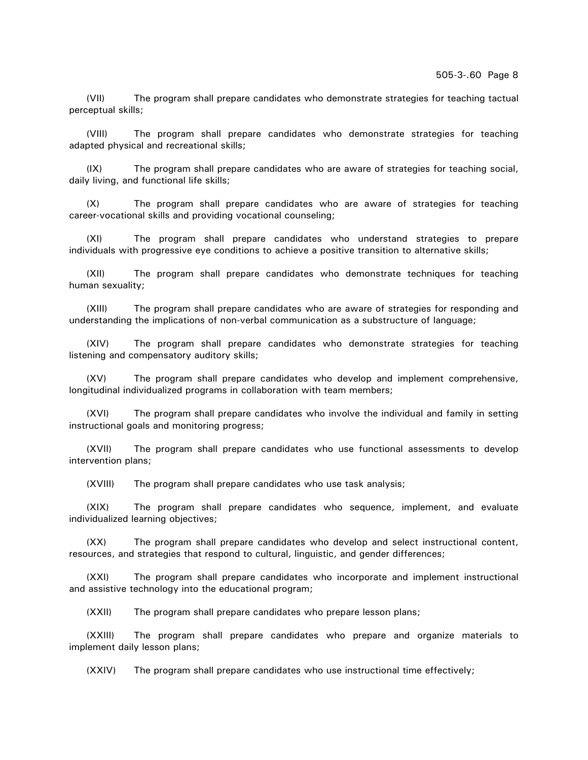(VII) The program shall prepare candidates who demonstrate strategies for teaching tactual perceptual skills;

(VIII) The program shall prepare candidates who demonstrate strategies for teaching adapted physical and recreational skills;

(IX) The program shall prepare candidates who are aware of strategies for teaching social, daily living, and functional life skills;

(X) The program shall prepare candidates who are aware of strategies for teaching career-vocational skills and providing vocational counseling;

(XI) The program shall prepare candidates who understand strategies to prepare individuals with progressive eye conditions to achieve a positive transition to alternative skills;

(XII) The program shall prepare candidates who demonstrate techniques for teaching human sexuality;

(XIII) The program shall prepare candidates who are aware of strategies for responding and understanding the implications of non-verbal communication as a substructure of language;

(XIV) The program shall prepare candidates who demonstrate strategies for teaching listening and compensatory auditory skills;

(XV) The program shall prepare candidates who develop and implement comprehensive, longitudinal individualized programs in collaboration with team members;

(XVI) The program shall prepare candidates who involve the individual and family in setting instructional goals and monitoring progress;

(XVII) The program shall prepare candidates who use functional assessments to develop intervention plans;

(XVIII) The program shall prepare candidates who use task analysis;

(XIX) The program shall prepare candidates who sequence, implement, and evaluate individualized learning objectives;

(XX) The program shall prepare candidates who develop and select instructional content, resources, and strategies that respond to cultural, linguistic, and gender differences;

(XXI) The program shall prepare candidates who incorporate and implement instructional and assistive technology into the educational program;

(XXII) The program shall prepare candidates who prepare lesson plans;

(XXIII) The program shall prepare candidates who prepare and organize materials to implement daily lesson plans;

(XXIV) The program shall prepare candidates who use instructional time effectively;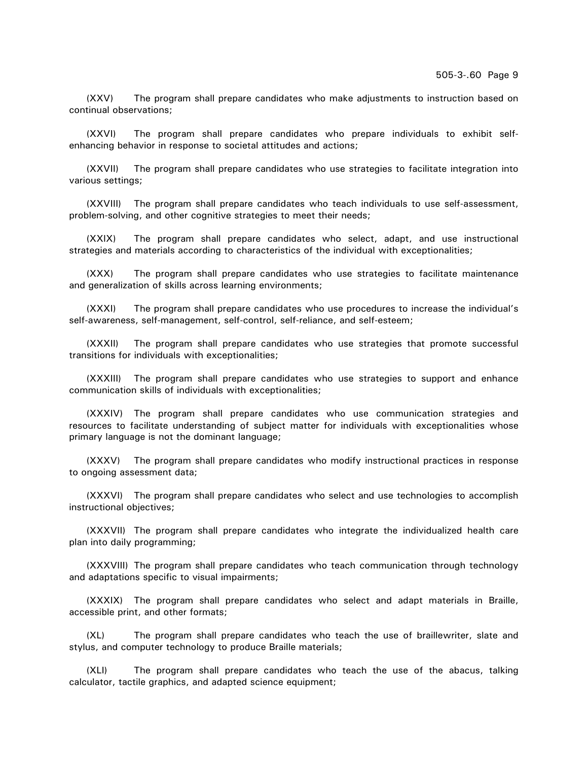(XXV) The program shall prepare candidates who make adjustments to instruction based on continual observations;

(XXVI) The program shall prepare candidates who prepare individuals to exhibit selfenhancing behavior in response to societal attitudes and actions;

(XXVII) The program shall prepare candidates who use strategies to facilitate integration into various settings;

(XXVIII) The program shall prepare candidates who teach individuals to use self-assessment, problem-solving, and other cognitive strategies to meet their needs;

(XXIX) The program shall prepare candidates who select, adapt, and use instructional strategies and materials according to characteristics of the individual with exceptionalities;

(XXX) The program shall prepare candidates who use strategies to facilitate maintenance and generalization of skills across learning environments;

(XXXI) The program shall prepare candidates who use procedures to increase the individual's self-awareness, self-management, self-control, self-reliance, and self-esteem;

(XXXII) The program shall prepare candidates who use strategies that promote successful transitions for individuals with exceptionalities;

(XXXIII) The program shall prepare candidates who use strategies to support and enhance communication skills of individuals with exceptionalities;

(XXXIV) The program shall prepare candidates who use communication strategies and resources to facilitate understanding of subject matter for individuals with exceptionalities whose primary language is not the dominant language;

(XXXV) The program shall prepare candidates who modify instructional practices in response to ongoing assessment data;

(XXXVI) The program shall prepare candidates who select and use technologies to accomplish instructional objectives;

(XXXVII) The program shall prepare candidates who integrate the individualized health care plan into daily programming;

(XXXVIII) The program shall prepare candidates who teach communication through technology and adaptations specific to visual impairments;

(XXXIX) The program shall prepare candidates who select and adapt materials in Braille, accessible print, and other formats;

(XL) The program shall prepare candidates who teach the use of braillewriter, slate and stylus, and computer technology to produce Braille materials;

(XLI) The program shall prepare candidates who teach the use of the abacus, talking calculator, tactile graphics, and adapted science equipment;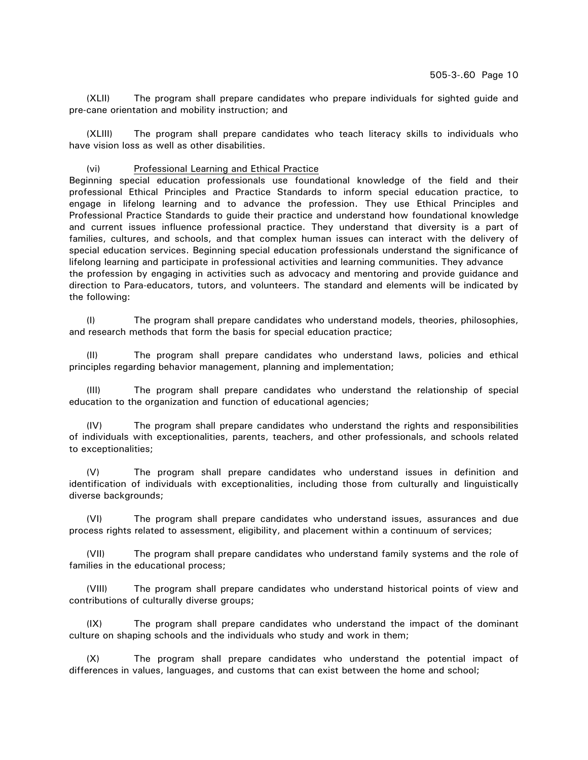(XLII) The program shall prepare candidates who prepare individuals for sighted guide and pre-cane orientation and mobility instruction; and

(XLIII) The program shall prepare candidates who teach literacy skills to individuals who have vision loss as well as other disabilities.

### (vi) Professional Learning and Ethical Practice

Beginning special education professionals use foundational knowledge of the field and their professional Ethical Principles and Practice Standards to inform special education practice, to engage in lifelong learning and to advance the profession. They use Ethical Principles and Professional Practice Standards to guide their practice and understand how foundational knowledge and current issues influence professional practice. They understand that diversity is a part of families, cultures, and schools, and that complex human issues can interact with the delivery of special education services. Beginning special education professionals understand the significance of lifelong learning and participate in professional activities and learning communities. They advance the profession by engaging in activities such as advocacy and mentoring and provide guidance and direction to Para-educators, tutors, and volunteers. The standard and elements will be indicated by the following:

(I) The program shall prepare candidates who understand models, theories, philosophies, and research methods that form the basis for special education practice;

(II) The program shall prepare candidates who understand laws, policies and ethical principles regarding behavior management, planning and implementation;

(III) The program shall prepare candidates who understand the relationship of special education to the organization and function of educational agencies;

(IV) The program shall prepare candidates who understand the rights and responsibilities of individuals with exceptionalities, parents, teachers, and other professionals, and schools related to exceptionalities;

(V) The program shall prepare candidates who understand issues in definition and identification of individuals with exceptionalities, including those from culturally and linguistically diverse backgrounds;

(VI) The program shall prepare candidates who understand issues, assurances and due process rights related to assessment, eligibility, and placement within a continuum of services;

(VII) The program shall prepare candidates who understand family systems and the role of families in the educational process;

(VIII) The program shall prepare candidates who understand historical points of view and contributions of culturally diverse groups;

(IX) The program shall prepare candidates who understand the impact of the dominant culture on shaping schools and the individuals who study and work in them;

(X) The program shall prepare candidates who understand the potential impact of differences in values, languages, and customs that can exist between the home and school;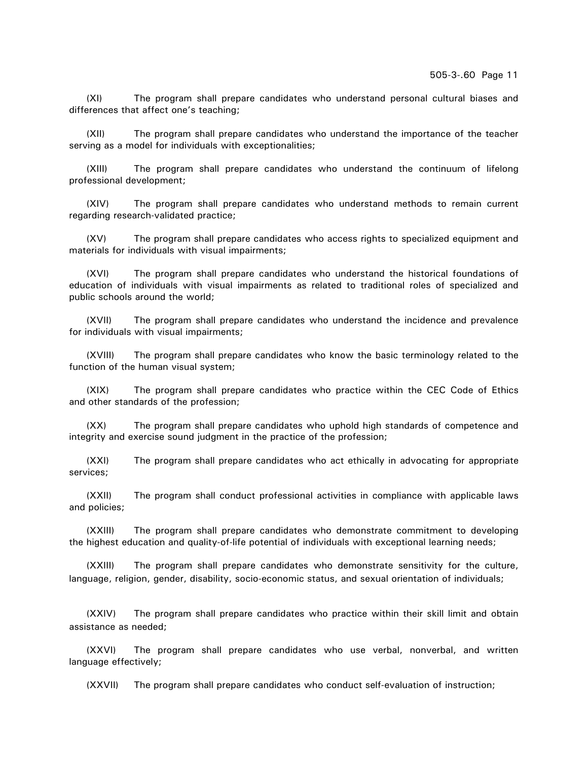(XI) The program shall prepare candidates who understand personal cultural biases and differences that affect one's teaching;

(XII) The program shall prepare candidates who understand the importance of the teacher serving as a model for individuals with exceptionalities;

(XIII) The program shall prepare candidates who understand the continuum of lifelong professional development;

(XIV) The program shall prepare candidates who understand methods to remain current regarding research-validated practice;

(XV) The program shall prepare candidates who access rights to specialized equipment and materials for individuals with visual impairments;

(XVI) The program shall prepare candidates who understand the historical foundations of education of individuals with visual impairments as related to traditional roles of specialized and public schools around the world;

(XVII) The program shall prepare candidates who understand the incidence and prevalence for individuals with visual impairments;

(XVIII) The program shall prepare candidates who know the basic terminology related to the function of the human visual system;

(XIX) The program shall prepare candidates who practice within the CEC Code of Ethics and other standards of the profession;

(XX) The program shall prepare candidates who uphold high standards of competence and integrity and exercise sound judgment in the practice of the profession;

(XXI) The program shall prepare candidates who act ethically in advocating for appropriate services;

(XXII) The program shall conduct professional activities in compliance with applicable laws and policies;

(XXIII) The program shall prepare candidates who demonstrate commitment to developing the highest education and quality-of-life potential of individuals with exceptional learning needs;

(XXIII) The program shall prepare candidates who demonstrate sensitivity for the culture, language, religion, gender, disability, socio-economic status, and sexual orientation of individuals;

(XXIV) The program shall prepare candidates who practice within their skill limit and obtain assistance as needed;

(XXVI) The program shall prepare candidates who use verbal, nonverbal, and written language effectively;

(XXVII) The program shall prepare candidates who conduct self-evaluation of instruction;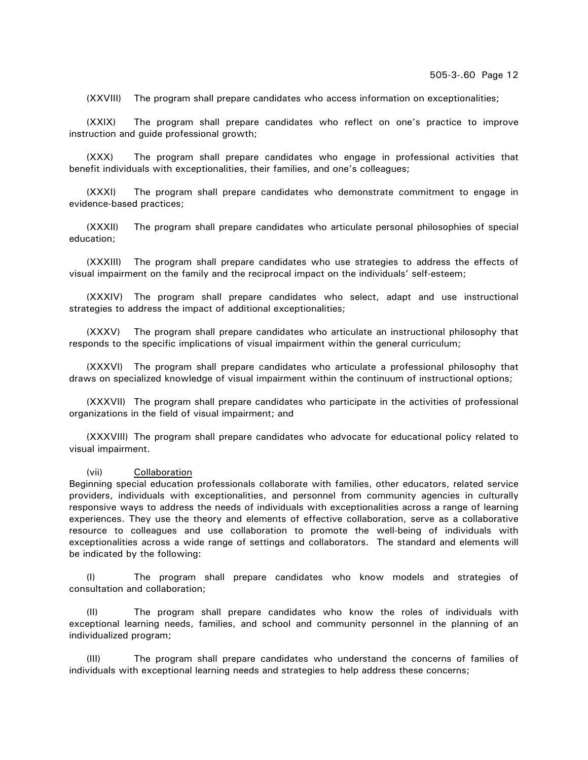(XXVIII) The program shall prepare candidates who access information on exceptionalities;

(XXIX) The program shall prepare candidates who reflect on one's practice to improve instruction and guide professional growth;

(XXX) The program shall prepare candidates who engage in professional activities that benefit individuals with exceptionalities, their families, and one's colleagues;

(XXXI) The program shall prepare candidates who demonstrate commitment to engage in evidence-based practices;

(XXXII) The program shall prepare candidates who articulate personal philosophies of special education;

(XXXIII) The program shall prepare candidates who use strategies to address the effects of visual impairment on the family and the reciprocal impact on the individuals' self-esteem;

(XXXIV) The program shall prepare candidates who select, adapt and use instructional strategies to address the impact of additional exceptionalities;

(XXXV) The program shall prepare candidates who articulate an instructional philosophy that responds to the specific implications of visual impairment within the general curriculum;

(XXXVI) The program shall prepare candidates who articulate a professional philosophy that draws on specialized knowledge of visual impairment within the continuum of instructional options;

(XXXVII) The program shall prepare candidates who participate in the activities of professional organizations in the field of visual impairment; and

(XXXVIII) The program shall prepare candidates who advocate for educational policy related to visual impairment.

(vii) Collaboration

Beginning special education professionals collaborate with families, other educators, related service providers, individuals with exceptionalities, and personnel from community agencies in culturally responsive ways to address the needs of individuals with exceptionalities across a range of learning experiences. They use the theory and elements of effective collaboration, serve as a collaborative resource to colleagues and use collaboration to promote the well-being of individuals with exceptionalities across a wide range of settings and collaborators. The standard and elements will be indicated by the following:

(I) The program shall prepare candidates who know models and strategies of consultation and collaboration;

(II) The program shall prepare candidates who know the roles of individuals with exceptional learning needs, families, and school and community personnel in the planning of an individualized program;

(III) The program shall prepare candidates who understand the concerns of families of individuals with exceptional learning needs and strategies to help address these concerns;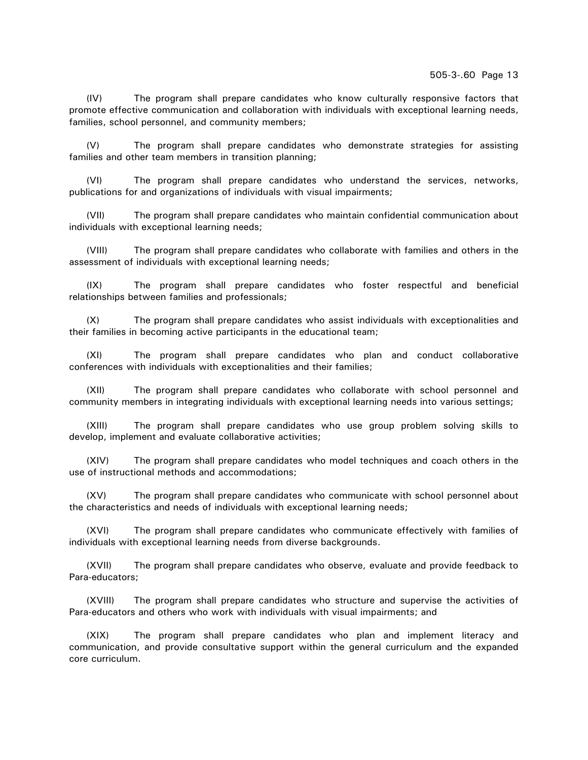(IV) The program shall prepare candidates who know culturally responsive factors that promote effective communication and collaboration with individuals with exceptional learning needs, families, school personnel, and community members;

(V) The program shall prepare candidates who demonstrate strategies for assisting families and other team members in transition planning;

(VI) The program shall prepare candidates who understand the services, networks, publications for and organizations of individuals with visual impairments;

(VII) The program shall prepare candidates who maintain confidential communication about individuals with exceptional learning needs;

(VIII) The program shall prepare candidates who collaborate with families and others in the assessment of individuals with exceptional learning needs;

(IX) The program shall prepare candidates who foster respectful and beneficial relationships between families and professionals;

(X) The program shall prepare candidates who assist individuals with exceptionalities and their families in becoming active participants in the educational team;

(XI) The program shall prepare candidates who plan and conduct collaborative conferences with individuals with exceptionalities and their families;

(XII) The program shall prepare candidates who collaborate with school personnel and community members in integrating individuals with exceptional learning needs into various settings;

(XIII) The program shall prepare candidates who use group problem solving skills to develop, implement and evaluate collaborative activities;

(XIV) The program shall prepare candidates who model techniques and coach others in the use of instructional methods and accommodations;

(XV) The program shall prepare candidates who communicate with school personnel about the characteristics and needs of individuals with exceptional learning needs;

(XVI) The program shall prepare candidates who communicate effectively with families of individuals with exceptional learning needs from diverse backgrounds.

(XVII) The program shall prepare candidates who observe, evaluate and provide feedback to Para-educators;

(XVIII) The program shall prepare candidates who structure and supervise the activities of Para-educators and others who work with individuals with visual impairments; and

(XIX) The program shall prepare candidates who plan and implement literacy and communication, and provide consultative support within the general curriculum and the expanded core curriculum.